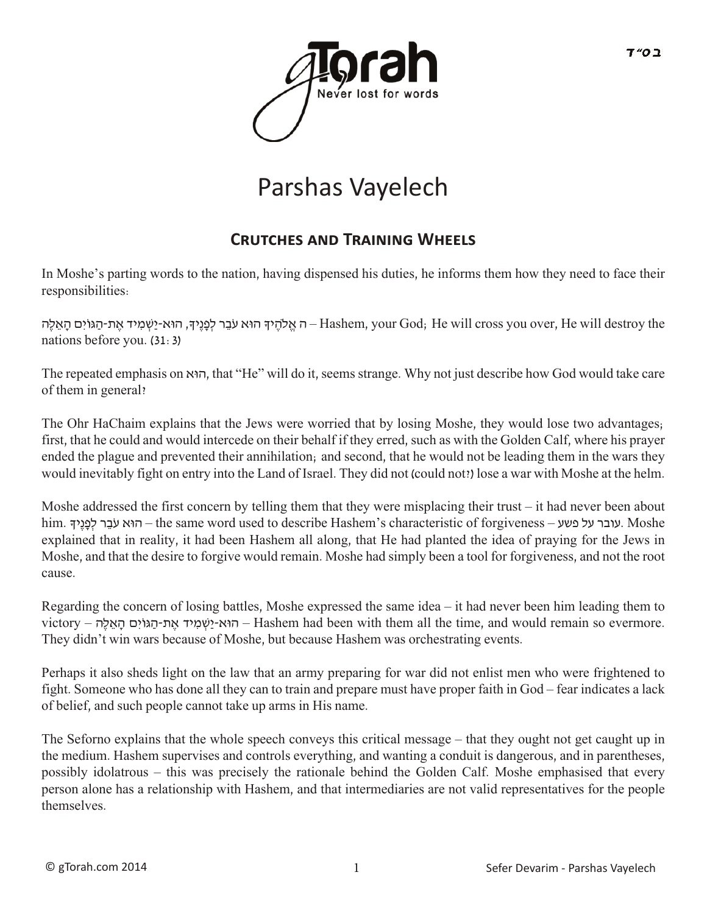

## Parshas Vayelech

## **CRUTCHES AND TRAINING WHEELS**

In Moshe's parting words to the nation, having dispensed his duties, he informs them how they need to face their responsibilities:

ה אֱלֹהֶיךָ הוּא עֹבֶר לְפָנֵיךָ, הוּא-יַשְׁמִיד אֲת-הַגּוֹיִם הָאֵלֶה – Hashem, your God; He will cross you over, He will destroy the nations before you. (31:3)

The repeated emphasis on ואּה, that "He" will do it, seems strange. Why not just describe how God would take care of them in general?

The Ohr HaChaim explains that the Jews were worried that by losing Moshe, they would lose two advantages; first, that he could and would intercede on their behalf if they erred, such as with the Golden Calf, where his prayer ended the plague and prevented their annihilation; and second, that he would not be leading them in the wars they would inevitably fight on entry into the Land of Israel. They did not (could not?) lose a war with Moshe at the helm.

Moshe addressed the first concern by telling them that they were misplacing their trust – it had never been about him. עובר על פשע – the same word used to describe Hashem's characteristic of forgiveness – הוּא עֹבֵר לְפָנֵיך explained that in reality, it had been Hashem all along, that He had planted the idea of praying for the Jews in Moshe, and that the desire to forgive would remain. Moshe had simply been a tool for forgiveness, and not the root cause.

Regarding the concern of losing battles, Moshe expressed the same idea – it had never been him leading them to victory – הוא-ישמיד את-הגּוֹים האלה – Hashem had been with them all the time, and would remain so evermore. They didn't win wars because of Moshe, but because Hashem was orchestrating events.

Perhaps it also sheds light on the law that an army preparing for war did not enlist men who were frightened to fight. Someone who has done all they can to train and prepare must have proper faith in God – fear indicates a lack of belief, and such people cannot take up arms in His name.

The Seforno explains that the whole speech conveys this critical message – that they ought not get caught up in the medium. Hashem supervises and controls everything, and wanting a conduit is dangerous, and in parentheses, possibly idolatrous – this was precisely the rationale behind the Golden Calf. Moshe emphasised that every person alone has a relationship with Hashem, and that intermediaries are not valid representatives for the people themselves.